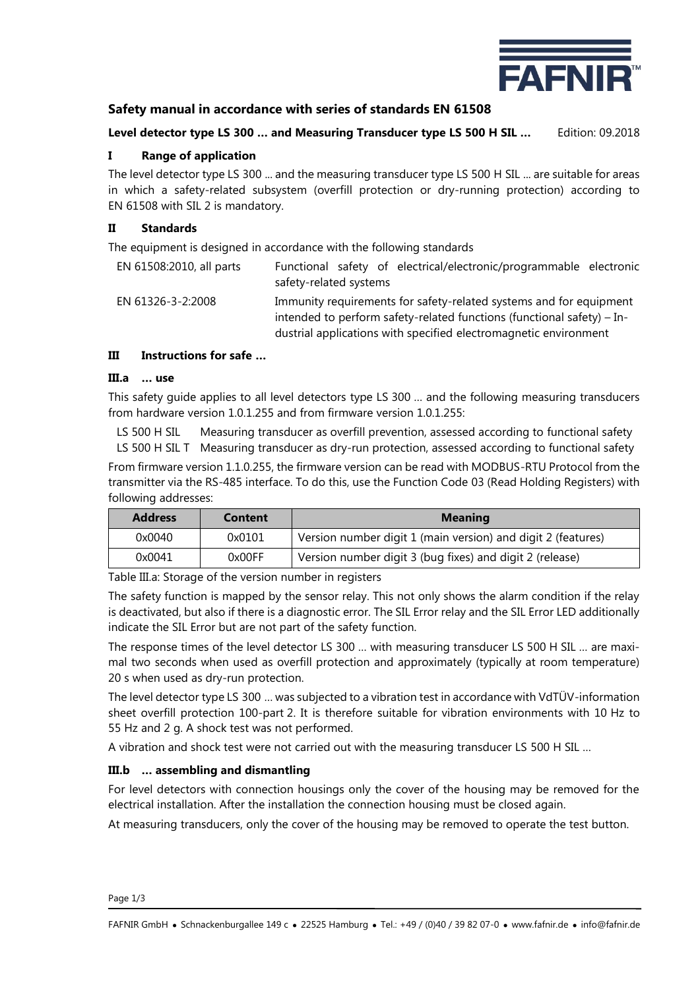

# **Safety manual in accordance with series of standards EN 61508**

## **Level detector type LS 300 … and Measuring Transducer type LS 500 H SIL …** Edition: 09.2018

## **I Range of application**

The level detector type LS 300 ... and the measuring transducer type LS 500 H SIL ... are suitable for areas in which a safety-related subsystem (overfill protection or dry-running protection) according to EN 61508 with SIL 2 is mandatory.

### **II Standards**

The equipment is designed in accordance with the following standards

| EN 61508:2010, all parts | Functional safety of electrical/electronic/programmable electronic<br>safety-related systems                                                 |  |  |  |
|--------------------------|----------------------------------------------------------------------------------------------------------------------------------------------|--|--|--|
| EN 61326-3-2:2008        | Immunity requirements for safety-related systems and for equipment<br>intended to perform safety-related functions (functional safety) – In- |  |  |  |
|                          | dustrial applications with specified electromagnetic environment                                                                             |  |  |  |

## **III Instructions for safe …**

#### **III.a … use**

This safety guide applies to all level detectors type LS 300 … and the following measuring transducers from hardware version 1.0.1.255 and from firmware version 1.0.1.255:

LS 500 H SIL Measuring transducer as overfill prevention, assessed according to functional safety LS 500 H SIL T Measuring transducer as dry-run protection, assessed according to functional safety

From firmware version 1.1.0.255, the firmware version can be read with MODBUS-RTU Protocol from the transmitter via the RS-485 interface. To do this, use the Function Code 03 (Read Holding Registers) with following addresses:

| <b>Address</b> | <b>Meaning</b><br><b>Content</b> |                                                              |  |
|----------------|----------------------------------|--------------------------------------------------------------|--|
| 0x0040         | 0x0101                           | Version number digit 1 (main version) and digit 2 (features) |  |
| 0x0041         | 0x00FF                           | Version number digit 3 (bug fixes) and digit 2 (release)     |  |

Table III.a: Storage of the version number in registers

The safety function is mapped by the sensor relay. This not only shows the alarm condition if the relay is deactivated, but also if there is a diagnostic error. The SIL Error relay and the SIL Error LED additionally indicate the SIL Error but are not part of the safety function.

The response times of the level detector LS 300 … with measuring transducer LS 500 H SIL … are maximal two seconds when used as overfill protection and approximately (typically at room temperature) 20 s when used as dry-run protection.

The level detector type LS 300 … was subjected to a vibration test in accordance with VdTÜV-information sheet overfill protection 100-part 2. It is therefore suitable for vibration environments with 10 Hz to 55 Hz and 2 g. A shock test was not performed.

A vibration and shock test were not carried out with the measuring transducer LS 500 H SIL …

# **III.b … assembling and dismantling**

For level detectors with connection housings only the cover of the housing may be removed for the electrical installation. After the installation the connection housing must be closed again.

At measuring transducers, only the cover of the housing may be removed to operate the test button.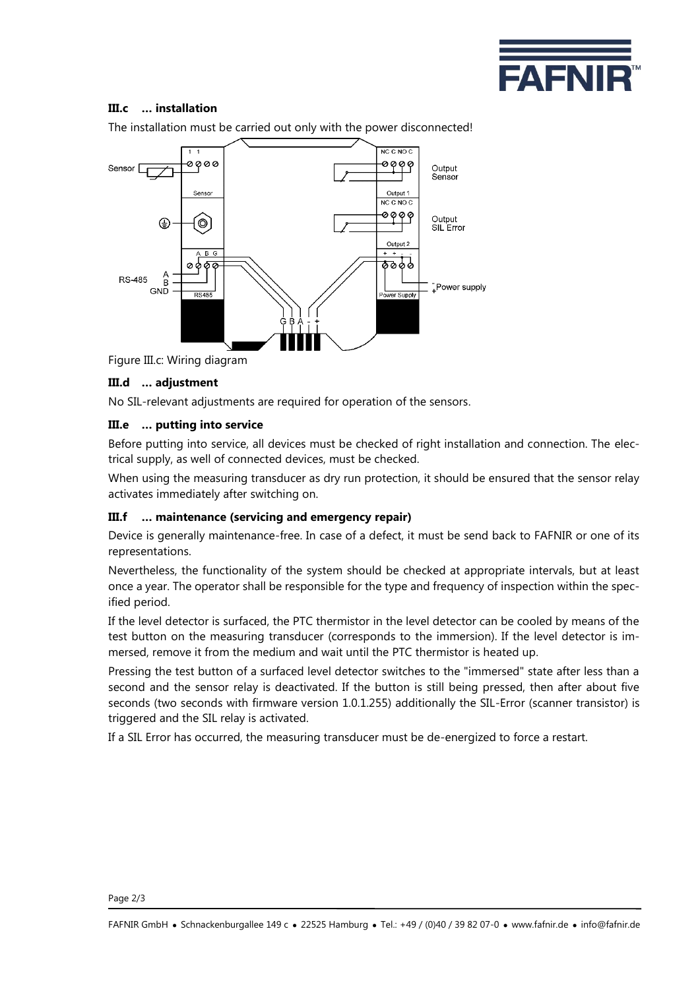

## **III.c … installation**



The installation must be carried out only with the power disconnected!

Figure III.c: Wiring diagram

#### **III.d … adjustment**

No SIL-relevant adjustments are required for operation of the sensors.

#### **III.e … putting into service**

Before putting into service, all devices must be checked of right installation and connection. The electrical supply, as well of connected devices, must be checked.

When using the measuring transducer as dry run protection, it should be ensured that the sensor relay activates immediately after switching on.

#### **III.f … maintenance (servicing and emergency repair)**

Device is generally maintenance-free. In case of a defect, it must be send back to FAFNIR or one of its representations.

Nevertheless, the functionality of the system should be checked at appropriate intervals, but at least once a year. The operator shall be responsible for the type and frequency of inspection within the specified period.

If the level detector is surfaced, the PTC thermistor in the level detector can be cooled by means of the test button on the measuring transducer (corresponds to the immersion). If the level detector is immersed, remove it from the medium and wait until the PTC thermistor is heated up.

Pressing the test button of a surfaced level detector switches to the "immersed" state after less than a second and the sensor relay is deactivated. If the button is still being pressed, then after about five seconds (two seconds with firmware version 1.0.1.255) additionally the SIL-Error (scanner transistor) is triggered and the SIL relay is activated.

If a SIL Error has occurred, the measuring transducer must be de-energized to force a restart.